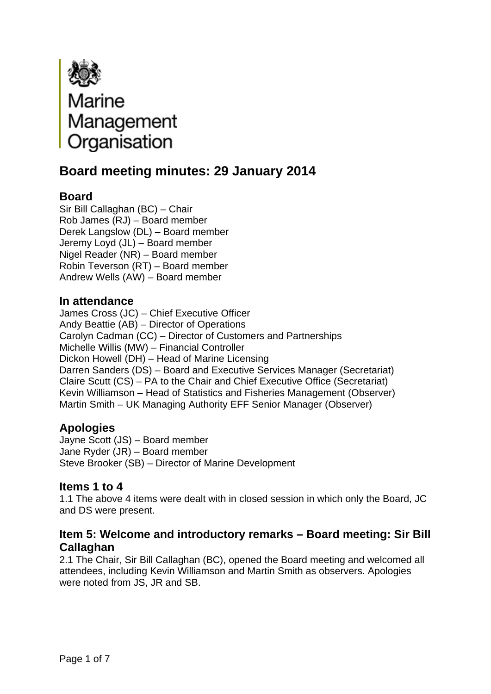

# **Board meeting minutes: 29 January 2014**

# **Board**

Sir Bill Callaghan (BC) – Chair Rob James (RJ) – Board member Derek Langslow (DL) – Board member Jeremy Loyd (JL) – Board member Nigel Reader (NR) – Board member Robin Teverson (RT) – Board member Andrew Wells (AW) – Board member

#### **In attendance**

James Cross (JC) – Chief Executive Officer Andy Beattie (AB) – Director of Operations Carolyn Cadman (CC) – Director of Customers and Partnerships Michelle Willis (MW) – Financial Controller Dickon Howell (DH) – Head of Marine Licensing Darren Sanders (DS) – Board and Executive Services Manager (Secretariat) Claire Scutt (CS) – PA to the Chair and Chief Executive Office (Secretariat) Kevin Williamson – Head of Statistics and Fisheries Management (Observer) Martin Smith – UK Managing Authority EFF Senior Manager (Observer)

# **Apologies**

Jayne Scott (JS) – Board member Jane Ryder (JR) – Board member Steve Brooker (SB) – Director of Marine Development

## **Items 1 to 4**

1.1 The above 4 items were dealt with in closed session in which only the Board, JC and DS were present.

## **Item 5: Welcome and introductory remarks – Board meeting: Sir Bill Callaghan**

2.1 The Chair, Sir Bill Callaghan (BC), opened the Board meeting and welcomed all attendees, including Kevin Williamson and Martin Smith as observers. Apologies were noted from JS, JR and SB.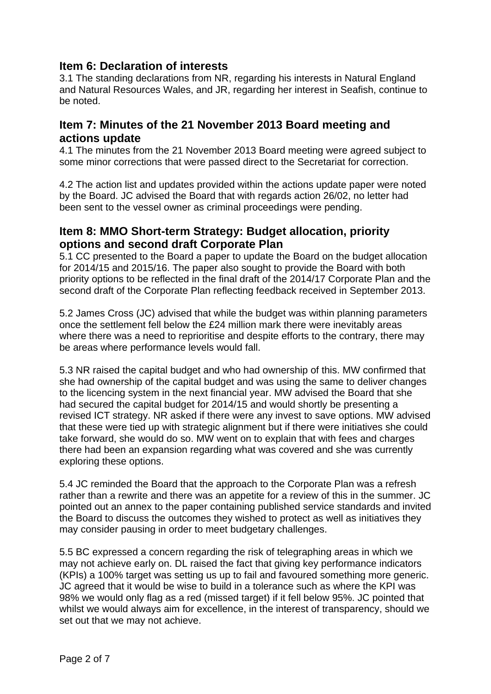# **Item 6: Declaration of interests**

3.1 The standing declarations from NR, regarding his interests in Natural England and Natural Resources Wales, and JR, regarding her interest in Seafish, continue to be noted.

# **Item 7: Minutes of the 21 November 2013 Board meeting and actions update**

4.1 The minutes from the 21 November 2013 Board meeting were agreed subject to some minor corrections that were passed direct to the Secretariat for correction.

4.2 The action list and updates provided within the actions update paper were noted by the Board. JC advised the Board that with regards action 26/02, no letter had been sent to the vessel owner as criminal proceedings were pending.

# **Item 8: MMO Short-term Strategy: Budget allocation, priority options and second draft Corporate Plan**

5.1 CC presented to the Board a paper to update the Board on the budget allocation for 2014/15 and 2015/16. The paper also sought to provide the Board with both priority options to be reflected in the final draft of the 2014/17 Corporate Plan and the second draft of the Corporate Plan reflecting feedback received in September 2013.

5.2 James Cross (JC) advised that while the budget was within planning parameters once the settlement fell below the £24 million mark there were inevitably areas where there was a need to reprioritise and despite efforts to the contrary, there may be areas where performance levels would fall.

5.3 NR raised the capital budget and who had ownership of this. MW confirmed that she had ownership of the capital budget and was using the same to deliver changes to the licencing system in the next financial year. MW advised the Board that she had secured the capital budget for 2014/15 and would shortly be presenting a revised ICT strategy. NR asked if there were any invest to save options. MW advised that these were tied up with strategic alignment but if there were initiatives she could take forward, she would do so. MW went on to explain that with fees and charges there had been an expansion regarding what was covered and she was currently exploring these options.

5.4 JC reminded the Board that the approach to the Corporate Plan was a refresh rather than a rewrite and there was an appetite for a review of this in the summer. JC pointed out an annex to the paper containing published service standards and invited the Board to discuss the outcomes they wished to protect as well as initiatives they may consider pausing in order to meet budgetary challenges.

5.5 BC expressed a concern regarding the risk of telegraphing areas in which we may not achieve early on. DL raised the fact that giving key performance indicators (KPIs) a 100% target was setting us up to fail and favoured something more generic. JC agreed that it would be wise to build in a tolerance such as where the KPI was 98% we would only flag as a red (missed target) if it fell below 95%. JC pointed that whilst we would always aim for excellence, in the interest of transparency, should we set out that we may not achieve.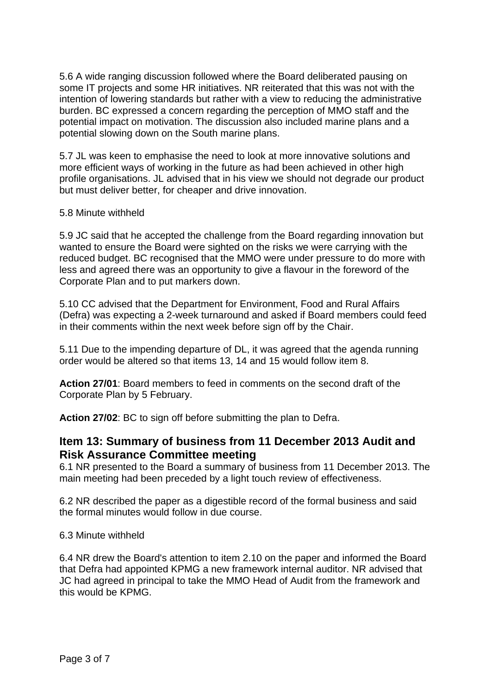5.6 A wide ranging discussion followed where the Board deliberated pausing on some IT projects and some HR initiatives. NR reiterated that this was not with the intention of lowering standards but rather with a view to reducing the administrative burden. BC expressed a concern regarding the perception of MMO staff and the potential impact on motivation. The discussion also included marine plans and a potential slowing down on the South marine plans.

5.7 JL was keen to emphasise the need to look at more innovative solutions and more efficient ways of working in the future as had been achieved in other high profile organisations. JL advised that in his view we should not degrade our product but must deliver better, for cheaper and drive innovation.

#### 5.8 Minute withheld

5.9 JC said that he accepted the challenge from the Board regarding innovation but wanted to ensure the Board were sighted on the risks we were carrying with the reduced budget. BC recognised that the MMO were under pressure to do more with less and agreed there was an opportunity to give a flavour in the foreword of the Corporate Plan and to put markers down.

5.10 CC advised that the Department for Environment, Food and Rural Affairs (Defra) was expecting a 2-week turnaround and asked if Board members could feed in their comments within the next week before sign off by the Chair.

5.11 Due to the impending departure of DL, it was agreed that the agenda running order would be altered so that items 13, 14 and 15 would follow item 8.

**Action 27/01**: Board members to feed in comments on the second draft of the Corporate Plan by 5 February.

**Action 27/02**: BC to sign off before submitting the plan to Defra.

## **Item 13: Summary of business from 11 December 2013 Audit and Risk Assurance Committee meeting**

6.1 NR presented to the Board a summary of business from 11 December 2013. The main meeting had been preceded by a light touch review of effectiveness.

6.2 NR described the paper as a digestible record of the formal business and said the formal minutes would follow in due course.

#### 6.3 Minute withheld

6.4 NR drew the Board's attention to item 2.10 on the paper and informed the Board that Defra had appointed KPMG a new framework internal auditor. NR advised that JC had agreed in principal to take the MMO Head of Audit from the framework and this would be KPMG.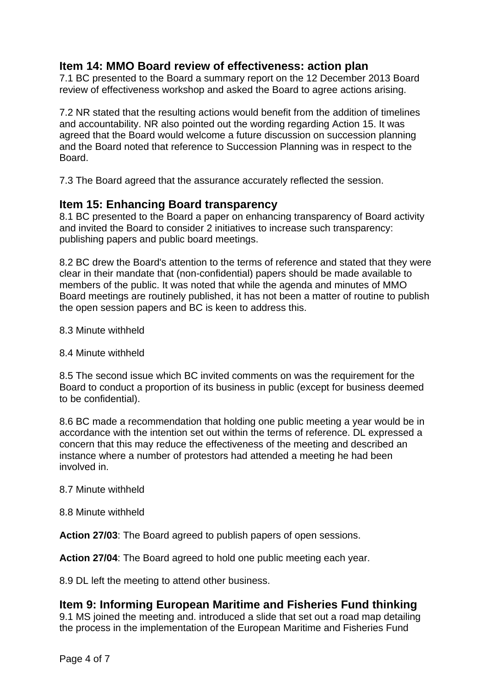# **Item 14: MMO Board review of effectiveness: action plan**

7.1 BC presented to the Board a summary report on the 12 December 2013 Board review of effectiveness workshop and asked the Board to agree actions arising.

7.2 NR stated that the resulting actions would benefit from the addition of timelines and accountability. NR also pointed out the wording regarding Action 15. It was agreed that the Board would welcome a future discussion on succession planning and the Board noted that reference to Succession Planning was in respect to the Board.

7.3 The Board agreed that the assurance accurately reflected the session.

## **Item 15: Enhancing Board transparency**

8.1 BC presented to the Board a paper on enhancing transparency of Board activity and invited the Board to consider 2 initiatives to increase such transparency: publishing papers and public board meetings.

8.2 BC drew the Board's attention to the terms of reference and stated that they were clear in their mandate that (non-confidential) papers should be made available to members of the public. It was noted that while the agenda and minutes of MMO Board meetings are routinely published, it has not been a matter of routine to publish the open session papers and BC is keen to address this.

- 8.3 Minute withheld
- 8.4 Minute withheld

8.5 The second issue which BC invited comments on was the requirement for the Board to conduct a proportion of its business in public (except for business deemed to be confidential).

8.6 BC made a recommendation that holding one public meeting a year would be in accordance with the intention set out within the terms of reference. DL expressed a concern that this may reduce the effectiveness of the meeting and described an instance where a number of protestors had attended a meeting he had been involved in.

#### 8.7 Minute withheld

8.8 Minute withheld

**Action 27/03**: The Board agreed to publish papers of open sessions.

**Action 27/04**: The Board agreed to hold one public meeting each year.

8.9 DL left the meeting to attend other business.

## **Item 9: Informing European Maritime and Fisheries Fund thinking**

9.1 MS joined the meeting and. introduced a slide that set out a road map detailing the process in the implementation of the European Maritime and Fisheries Fund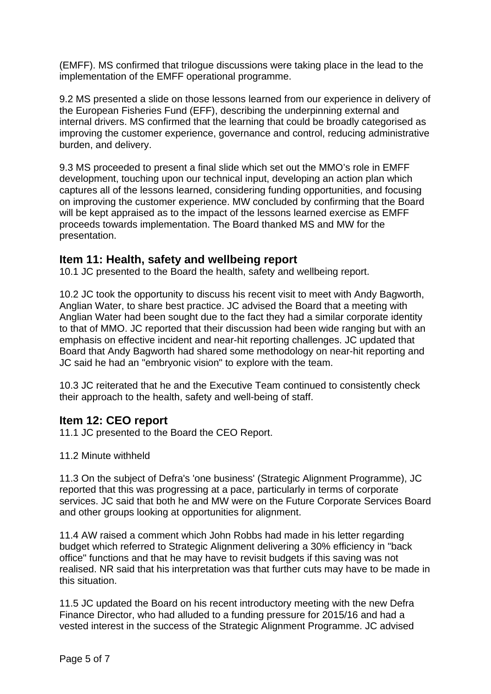(EMFF). MS confirmed that trilogue discussions were taking place in the lead to the implementation of the EMFF operational programme.

9.2 MS presented a slide on those lessons learned from our experience in delivery of the European Fisheries Fund (EFF), describing the underpinning external and internal drivers. MS confirmed that the learning that could be broadly categorised as improving the customer experience, governance and control, reducing administrative burden, and delivery.

9.3 MS proceeded to present a final slide which set out the MMO's role in EMFF development, touching upon our technical input, developing an action plan which captures all of the lessons learned, considering funding opportunities, and focusing on improving the customer experience. MW concluded by confirming that the Board will be kept appraised as to the impact of the lessons learned exercise as EMFF proceeds towards implementation. The Board thanked MS and MW for the presentation.

#### **Item 11: Health, safety and wellbeing report**

10.1 JC presented to the Board the health, safety and wellbeing report.

10.2 JC took the opportunity to discuss his recent visit to meet with Andy Bagworth, Anglian Water, to share best practice. JC advised the Board that a meeting with Anglian Water had been sought due to the fact they had a similar corporate identity to that of MMO. JC reported that their discussion had been wide ranging but with an emphasis on effective incident and near-hit reporting challenges. JC updated that Board that Andy Bagworth had shared some methodology on near-hit reporting and JC said he had an "embryonic vision" to explore with the team.

10.3 JC reiterated that he and the Executive Team continued to consistently check their approach to the health, safety and well-being of staff.

#### **Item 12: CEO report**

11.1 JC presented to the Board the CEO Report.

11.2 Minute withheld

11.3 On the subject of Defra's 'one business' (Strategic Alignment Programme), JC reported that this was progressing at a pace, particularly in terms of corporate services. JC said that both he and MW were on the Future Corporate Services Board and other groups looking at opportunities for alignment.

11.4 AW raised a comment which John Robbs had made in his letter regarding budget which referred to Strategic Alignment delivering a 30% efficiency in "back office" functions and that he may have to revisit budgets if this saving was not realised. NR said that his interpretation was that further cuts may have to be made in this situation.

11.5 JC updated the Board on his recent introductory meeting with the new Defra Finance Director, who had alluded to a funding pressure for 2015/16 and had a vested interest in the success of the Strategic Alignment Programme. JC advised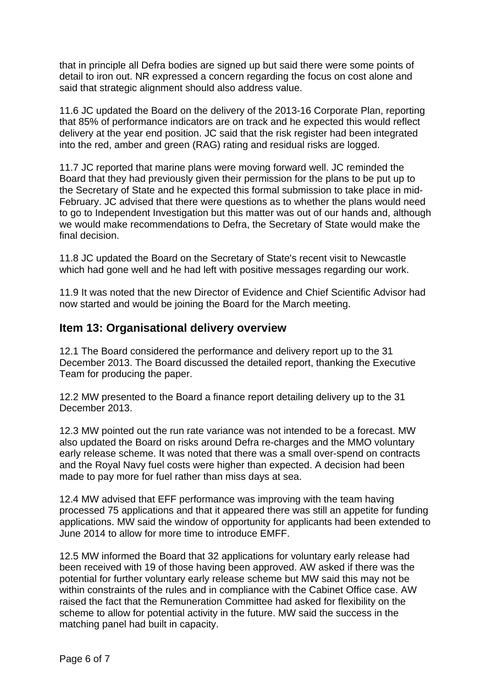that in principle all Defra bodies are signed up but said there were some points of detail to iron out. NR expressed a concern regarding the focus on cost alone and said that strategic alignment should also address value.

11.6 JC updated the Board on the delivery of the 2013-16 Corporate Plan, reporting that 85% of performance indicators are on track and he expected this would reflect delivery at the year end position. JC said that the risk register had been integrated into the red, amber and green (RAG) rating and residual risks are logged.

11.7 JC reported that marine plans were moving forward well. JC reminded the Board that they had previously given their permission for the plans to be put up to the Secretary of State and he expected this formal submission to take place in mid-February. JC advised that there were questions as to whether the plans would need to go to Independent Investigation but this matter was out of our hands and, although we would make recommendations to Defra, the Secretary of State would make the final decision.

11.8 JC updated the Board on the Secretary of State's recent visit to Newcastle which had gone well and he had left with positive messages regarding our work.

11.9 It was noted that the new Director of Evidence and Chief Scientific Advisor had now started and would be joining the Board for the March meeting.

# **Item 13: Organisational delivery overview**

12.1 The Board considered the performance and delivery report up to the 31 December 2013. The Board discussed the detailed report, thanking the Executive Team for producing the paper.

12.2 MW presented to the Board a finance report detailing delivery up to the 31 December 2013.

12.3 MW pointed out the run rate variance was not intended to be a forecast. MW also updated the Board on risks around Defra re-charges and the MMO voluntary early release scheme. It was noted that there was a small over-spend on contracts and the Royal Navy fuel costs were higher than expected. A decision had been made to pay more for fuel rather than miss days at sea.

12.4 MW advised that EFF performance was improving with the team having processed 75 applications and that it appeared there was still an appetite for funding applications. MW said the window of opportunity for applicants had been extended to June 2014 to allow for more time to introduce EMFF.

12.5 MW informed the Board that 32 applications for voluntary early release had been received with 19 of those having been approved. AW asked if there was the potential for further voluntary early release scheme but MW said this may not be within constraints of the rules and in compliance with the Cabinet Office case. AW raised the fact that the Remuneration Committee had asked for flexibility on the scheme to allow for potential activity in the future. MW said the success in the matching panel had built in capacity.